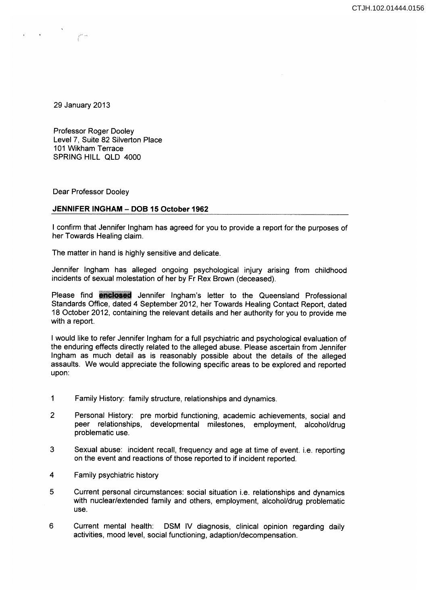CTJH.102.01444.0156

29 January 2013

Professor Roger Dooley Level 7, Suite 82 Silverton Place 101 Wikham Terrace SPRING HILL QLD 4000

Dear Professor Dooley

## **JENNIFER INGHAM - DOB 15 October 1962**

I confirm that Jennifer Ingham has agreed for you to provide a report for the purposes of her Towards Healing claim.

The matter in hand is highly sensitive and delicate.

Jennifer Ingham has alleged ongoing psychological Injury arising from childhood incidents of sexual molestation of her by Fr Rex Brown (deceased).

Please find **enclosed** Jennifer Ingham's letter to the Queensland Professional Standards Office, dated 4 September 2012, her Towards Healing Contact Report, dated 18 October 2012, containing the relevant details and her authority for you to provide me with a report.

I would like to refer Jennifer Ingham for a full psychiatric and psychological evaluation of the enduring effects directly related to the alleged abuse. Please ascertain from Jennifer Ingham as much detail as is reasonably possible about the details of the alleged assaults. We would appreciate the following specific areas to be explored and reported upon:

- 1 Family History: family structure, relationships and dynamics.
- 2 Personal History: pre morbid functioning, academic achievements, social and peer relationships, developmental milestones, employment, alcohol/drug problematic use.
- 3 Sexual abuse: incident recall, frequency and age at time of event. i.e. reporting on the event and reactions of those reported to if incident reported.
- 4 Family psychiatric history
- 5 Current personal circumstances: social situation i.e. relationships and dynamics with nuclear/extended family and others, employment, alcohol/drug problematic use.
- 6 Current mental health: DSM IV diagnosis, clinical opinion regarding daily activities, mood level, social functioning, adaption/decompensation.